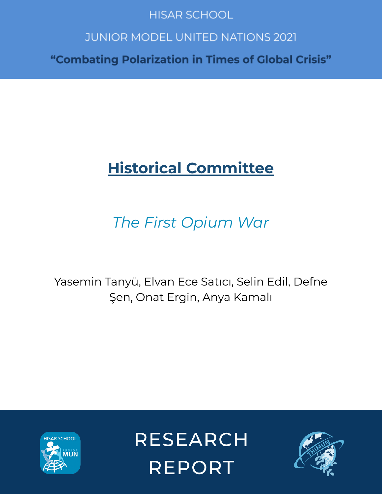# **HISAR SCHOOL**

# **JUNIOR MODEL UNITED NATIONS 2021**

"Combating Polarization in Times of Global Crisis"

# **Historical Committee**

# *The First Opium War*

Yasemin Tanyü, Elvan Ece Satıcı, Selin Edil, Defne Şen, Onat Ergin, Anya Kamalı



**RESEARCH REPORT** 

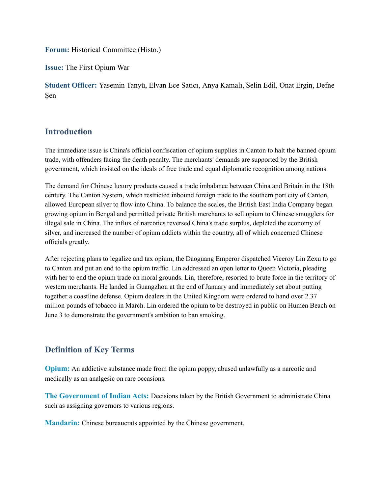**Forum:** Historical Committee (Histo.)

**Issue:** The First Opium War

**Student Officer:** Yasemin Tanyü, Elvan Ece Satıcı, Anya Kamalı, Selin Edil, Onat Ergin, Defne Şen

# **Introduction**

The immediate issue is China's official confiscation of opium supplies in Canton to halt the banned opium trade, with offenders facing the death penalty. The merchants' demands are supported by the British government, which insisted on the ideals of free trade and equal diplomatic recognition among nations.

The demand for Chinese luxury products caused a trade imbalance between China and Britain in the 18th century. The Canton System, which restricted inbound foreign trade to the southern port city of Canton, allowed European silver to flow into China. To balance the scales, the British East India Company began growing opium in Bengal and permitted private British merchants to sell opium to Chinese smugglers for illegal sale in China. The influx of narcotics reversed China's trade surplus, depleted the economy of silver, and increased the number of opium addicts within the country, all of which concerned Chinese officials greatly.

After rejecting plans to legalize and tax opium, the Daoguang Emperor dispatched Viceroy Lin Zexu to go to Canton and put an end to the opium traffic. Lin addressed an open letter to Queen Victoria, pleading with her to end the opium trade on moral grounds. Lin, therefore, resorted to brute force in the territory of western merchants. He landed in Guangzhou at the end of January and immediately set about putting together a coastline defense. Opium dealers in the United Kingdom were ordered to hand over 2.37 million pounds of tobacco in March. Lin ordered the opium to be destroyed in public on Humen Beach on June 3 to demonstrate the government's ambition to ban smoking.

# **Definition of Key Terms**

**Opium:** An addictive substance made from the opium poppy, abused unlawfully as a narcotic and medically as an analgesic on rare occasions.

**The Government of Indian Acts:** Decisions taken by the British Government to administrate China such as assigning governors to various regions.

**Mandarin:** Chinese bureaucrats appointed by the Chinese government.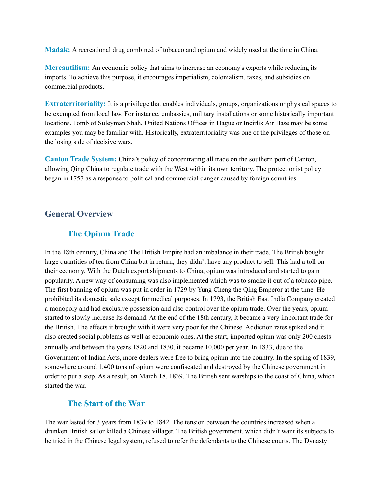**Madak:** A recreational drug combined of tobacco and opium and widely used at the time in China.

**Mercantilism:** An economic policy that aims to increase an economy's exports while reducing its imports. To achieve this purpose, it encourages imperialism, colonialism, taxes, and subsidies on commercial products.

**Extraterritoriality:** It is a privilege that enables individuals, groups, organizations or physical spaces to be exempted from local law. For instance, embassies, military installations or some historically important locations. Tomb of Suleyman Shah, United Nations Offices in Hague or Incirlik Air Base may be some examples you may be familiar with. Historically, extraterritoriality was one of the privileges of those on the losing side of decisive wars.

**Canton Trade System:** China's policy of concentrating all trade on the southern port of Canton, allowing Qing China to regulate trade with the West within its own territory. The protectionist policy began in 1757 as a response to political and commercial danger caused by foreign countries.

## **General Overview**

## **The Opium Trade**

In the 18th century, China and The British Empire had an imbalance in their trade. The British bought large quantities of tea from China but in return, they didn't have any product to sell. This had a toll on their economy. With the Dutch export shipments to China, opium was introduced and started to gain popularity. A new way of consuming was also implemented which was to smoke it out of a tobacco pipe. The first banning of opium was put in order in 1729 by Yung Cheng the Qing Emperor at the time. He prohibited its domestic sale except for medical purposes. In 1793, the British East India Company created a monopoly and had exclusive possession and also control over the opium trade. Over the years, opium started to slowly increase its demand. At the end of the 18th century, it became a very important trade for the British. The effects it brought with it were very poor for the Chinese. Addiction rates spiked and it also created social problems as well as economic ones. At the start, imported opium was only 200 chests annually and between the years 1820 and 1830, it became 10.000 per year. In 1833, due to the Government of Indian Acts, more dealers were free to bring opium into the country. In the spring of 1839, somewhere around 1.400 tons of opium were confiscated and destroyed by the Chinese government in order to put a stop. As a result, on March 18, 1839, The British sent warships to the coast of China, which started the war.

## **The Start of the War**

The war lasted for 3 years from 1839 to 1842. The tension between the countries increased when a drunken British sailor killed a Chinese villager. The British government, which didn't want its subjects to be tried in the Chinese legal system, refused to refer the defendants to the Chinese courts. The Dynasty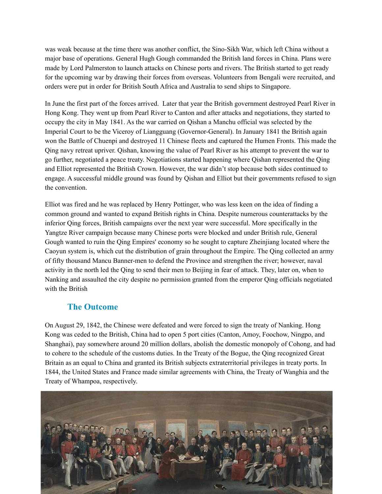was weak because at the time there was another conflict, the Sino-Sikh War, which left China without a major base of operations. General Hugh Gough commanded the British land forces in China. Plans were made by Lord Palmerston to launch attacks on Chinese ports and rivers. The British started to get ready for the upcoming war by drawing their forces from overseas. Volunteers from Bengali were recruited, and orders were put in order for British South Africa and Australia to send ships to Singapore.

In June the first part of the forces arrived. Later that year the British government destroyed Pearl River in Hong Kong. They went up from Pearl River to Canton and after attacks and negotiations, they started to occupy the city in May 1841. As the war carried on Qishan a Manchu official was selected by the Imperial Court to be the Viceroy of Liangguang (Governor-General). In January 1841 the British again won the Battle of Chuenpi and destroyed 11 Chinese fleets and captured the Humen Fronts. This made the Qing navy retreat upriver. Qishan, knowing the value of Pearl River as his attempt to prevent the war to go further, negotiated a peace treaty. Negotiations started happening where Qishan represented the Qing and Elliot represented the British Crown. However, the war didn't stop because both sides continued to engage. A successful middle ground was found by Qishan and Elliot but their governments refused to sign the convention.

Elliot was fired and he was replaced by Henry Pottinger, who was less keen on the idea of finding a common ground and wanted to expand British rights in China. Despite numerous counterattacks by the inferior Qing forces, British campaigns over the next year were successful. More specifically in the Yangtze River campaign because many Chinese ports were blocked and under British rule, General Gough wanted to ruin the Qing Empires' economy so he sought to capture Zheinjiang located where the Caoyun system is, which cut the distribution of grain throughout the Empire. The Qing collected an army of fifty thousand Mancu Banner-men to defend the Province and strengthen the river; however, naval activity in the north led the Qing to send their men to Beijing in fear of attack. They, later on, when to Nanking and assaulted the city despite no permission granted from the emperor Qing officials negotiated with the British

# **The Outcome**

On August 29, 1842, the Chinese were defeated and were forced to sign the treaty of Nanking. Hong Kong was ceded to the British, China had to open 5 port cities (Canton, Amoy, Foochow, Ningpo, and Shanghai), pay somewhere around 20 million dollars, abolish the domestic monopoly of Cohong, and had to cohere to the schedule of the customs duties. In the Treaty of the Bogue, the Qing recognized Great Britain as an equal to China and granted its British subjects extraterritorial privileges in treaty ports. In 1844, the United States and France made similar agreements with China, the Treaty of Wanghia and the Treaty of Whampoa, respectively.

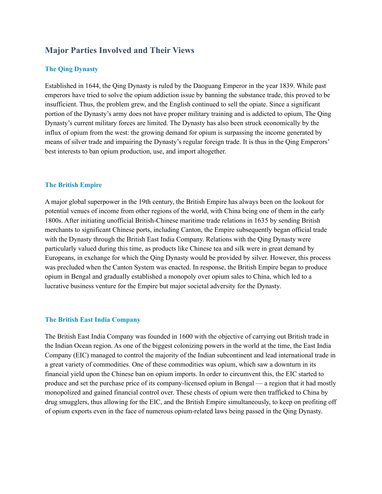# **Major Parties Involved and Their Views**

#### **The Qing Dynasty**

Established in 1644, the Qing Dynasty is ruled by the Daoguang Emperor in the year 1839. While past emperors have tried to solve the opium addiction issue by banning the substance trade, this proved to be insufficient. Thus, the problem grew, and the English continued to sell the opiate. Since a significant portion of the Dynasty's army does not have proper military training and is addicted to opium, The Qing Dynasty's current military forces are limited. The Dynasty has also been struck economically by the influx of opium from the west: the growing demand for opium is surpassing the income generated by means of silver trade and impairing the Dynasty's regular foreign trade. It is thus in the Qing Emperors' best interests to ban opium production, use, and import altogether.

#### **The British Empire**

A major global superpower in the 19th century, the British Empire has always been on the lookout for potential venues of income from other regions of the world, with China being one of them in the early 1800s. After initiating unofficial British-Chinese maritime trade relations in 1635 by sending British merchants to significant Chinese ports, including Canton, the Empire subsequently began official trade with the Dynasty through the British East India Company. Relations with the Qing Dynasty were particularly valued during this time, as products like Chinese tea and silk were in great demand by Europeans, in exchange for which the Qing Dynasty would be provided by silver. However, this process was precluded when the Canton System was enacted. In response, the British Empire began to produce opium in Bengal and gradually established a monopoly over opium sales to China, which led to a lucrative business venture for the Empire but major societal adversity for the Dynasty.

#### **The British East India Company**

The British East India Company was founded in 1600 with the objective of carrying out British trade in the Indian Ocean region. As one of the biggest colonizing powers in the world at the time, the East India Company (EIC) managed to control the majority of the Indian subcontinent and lead international trade in a great variety of commodities. One of these commodities was opium, which saw a downturn in its financial yield upon the Chinese ban on opium imports. In order to circumvent this, the EIC started to produce and set the purchase price of its company-licensed opium in Bengal — a region that it had mostly monopolized and gained financial control over. These chests of opium were then trafficked to China by drug smugglers, thus allowing for the EIC, and the British Empire simultaneously, to keep on profiting off of opium exports even in the face of numerous opium-related laws being passed in the Qing Dynasty.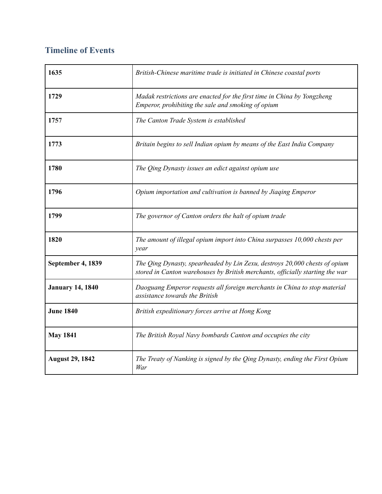# **Timeline of Events**

| 1635                    | British-Chinese maritime trade is initiated in Chinese coastal ports                                                                                        |
|-------------------------|-------------------------------------------------------------------------------------------------------------------------------------------------------------|
| 1729                    | Madak restrictions are enacted for the first time in China by Yongzheng<br>Emperor, prohibiting the sale and smoking of opium                               |
| 1757                    | The Canton Trade System is established                                                                                                                      |
| 1773                    | Britain begins to sell Indian opium by means of the East India Company                                                                                      |
| 1780                    | The Qing Dynasty issues an edict against opium use                                                                                                          |
| 1796                    | Opium importation and cultivation is banned by Jiaqing Emperor                                                                                              |
| 1799                    | The governor of Canton orders the halt of opium trade                                                                                                       |
| 1820                    | The amount of illegal opium import into China surpasses 10,000 chests per<br>year                                                                           |
| September 4, 1839       | The Qing Dynasty, spearheaded by Lin Zexu, destroys 20,000 chests of opium<br>stored in Canton warehouses by British merchants, officially starting the war |
| <b>January 14, 1840</b> | Daoguang Emperor requests all foreign merchants in China to stop material<br>assistance towards the British                                                 |
| <b>June 1840</b>        | British expeditionary forces arrive at Hong Kong                                                                                                            |
| <b>May 1841</b>         | The British Royal Navy bombards Canton and occupies the city                                                                                                |
| <b>August 29, 1842</b>  | The Treaty of Nanking is signed by the Qing Dynasty, ending the First Opium<br>War                                                                          |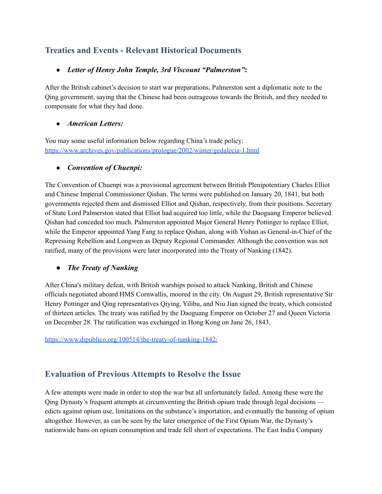# **Treaties and Events - Relevant Historical Documents**

## ● *Letter of Henry John Temple, 3rd Viscount "Palmerston"***:**

After the British cabinet's decision to start war preparations, Palmerston sent a diplomatic note to the Qing government, saying that the Chinese had been outrageous towards the British, and they needed to compensate for what they had done.

### ● *American Letters:*

You may some useful information below regarding China's trade policy: <https://www.archives.gov/publications/prologue/2002/winter/gedalecia-1.html>

# **●** *Convention of Chuenpi:*

The Convention of Chuenpi was a provisional agreement between British Plenipotentiary Charles Elliot and Chinese Imperial Commissioner Qishan. The terms were published on January 20, 1841, but both governments rejected them and dismissed Elliot and Qishan, respectively, from their positions. Secretary of State Lord Palmerston stated that Elliot had acquired too little, while the Daoguang Emperor believed Qishan had conceded too much. Palmerston appointed Major General Henry Pottinger to replace Elliot, while the Emperor appointed Yang Fang to replace Qishan, along with Yishan as General-in-Chief of the Repressing Rebellion and Longwen as Deputy Regional Commander. Although the convention was not ratified, many of the provisions were later incorporated into the Treaty of Nanking (1842).

# *● The Treaty of Nanking*

After China's military defeat, with British warships poised to attack Nanking, British and Chinese officials negotiated aboard HMS Cornwallis, moored in the city. On August 29, British representative Sir Henry Pottinger and Qing representatives Qiying, Yilibu, and Niu Jian signed the treaty, which consisted of thirteen articles. The treaty was ratified by the Daoguang Emperor on October 27 and Queen Victoria on December 28. The ratification was exchanged in Hong Kong on June 26, 1843.

<https://www.dipublico.org/100514/the-treaty-of-nanking-1842/>

# **Evaluation of Previous Attempts to Resolve the Issue**

A few attempts were made in order to stop the war but all unfortunately failed. Among these were the Qing Dynasty's frequent attempts at circumventing the British opium trade through legal decisions edicts against opium use, limitations on the substance's importation, and eventually the banning of opium altogether. However, as can be seen by the later emergence of the First Opium War, the Dynasty's nationwide bans on opium consumption and trade fell short of expectations. The East India Company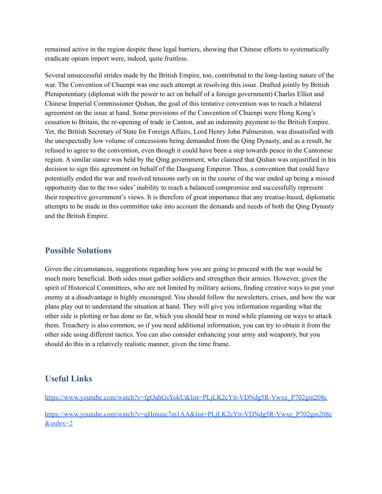remained active in the region despite these legal barriers, showing that Chinese efforts to systematically eradicate opium import were, indeed, quite fruitless.

Several unsuccessful strides made by the British Empire, too, contributed to the long-lasting nature of the war. The Convention of Chuenpi was one such attempt at resolving this issue. Drafted jointly by British Plenipotentiary (diplomat with the power to act on behalf of a foreign government) Charles Elliot and Chinese Imperial Commissioner Qishan, the goal of this tentative convention was to reach a bilateral agreement on the issue at hand. Some provisions of the Convention of Chuenpi were Hong Kong's cessation to Britain, the re-opening of trade in Canton, and an indemnity payment to the British Empire. Yet, the British Secretary of State for Foreign Affairs, Lord Henry John Palmerston, was dissatisfied with the unexpectedly low volume of concessions being demanded from the Qing Dynasty, and as a result, he refused to agree to the convention, even though it could have been a step towards peace in the Cantonese region. A similar stance was held by the Qing government, who claimed that Qishan was unjustified in his decision to sign this agreement on behalf of the Daoguang Emperor. Thus, a convention that could have potentially ended the war and resolved tensions early on in the course of the war ended up being a missed opportunity due to the two sides' inability to reach a balanced compromise and successfully represent their respective government's views. It is therefore of great importance that any treatise-based, diplomatic attempts to be made in this committee take into account the demands and needs of both the Qing Dynasty and the British Empire.

# **Possible Solutions**

Given the circumstances, suggestions regarding how you are going to proceed with the war would be much more beneficial. Both sides must gather soldiers and strengthen their armies. However, given the spirit of Historical Committees, who are not limited by military actions, finding creative ways to put your enemy at a disadvantage is highly encouraged. You should follow the newsletters, crises, and how the war plans play out to understand the situation at hand. They will give you information regarding what the other side is plotting or has done so far, which you should bear in mind while planning on ways to attack them. Treachery is also common, so if you need additional information, you can try to obtain it from the other side using different tactics. You can also consider enhancing your army and weaponry, but you should do this in a relatively realistic manner, given the time frame.

# **Useful Links**

[https://www.youtube.com/watch?v=fgQahGsYokU&list=PLjLK2cYtt-VDNdg5R-Vwxe\\_P702gm208c](https://www.youtube.com/watch?v=fgQahGsYokU&list=PLjLK2cYtt-VDNdg5R-Vwxe_P702gm208c)

[https://www.youtube.com/watch?v=qHmuuc7m1AA&list=PLjLK2cYtt-VDNdg5R-Vwxe\\_P702gm208c](https://www.youtube.com/watch?v=qHmuuc7m1AA&list=PLjLK2cYtt-VDNdg5R-Vwxe_P702gm208c&index=2) [&index=2](https://www.youtube.com/watch?v=qHmuuc7m1AA&list=PLjLK2cYtt-VDNdg5R-Vwxe_P702gm208c&index=2)